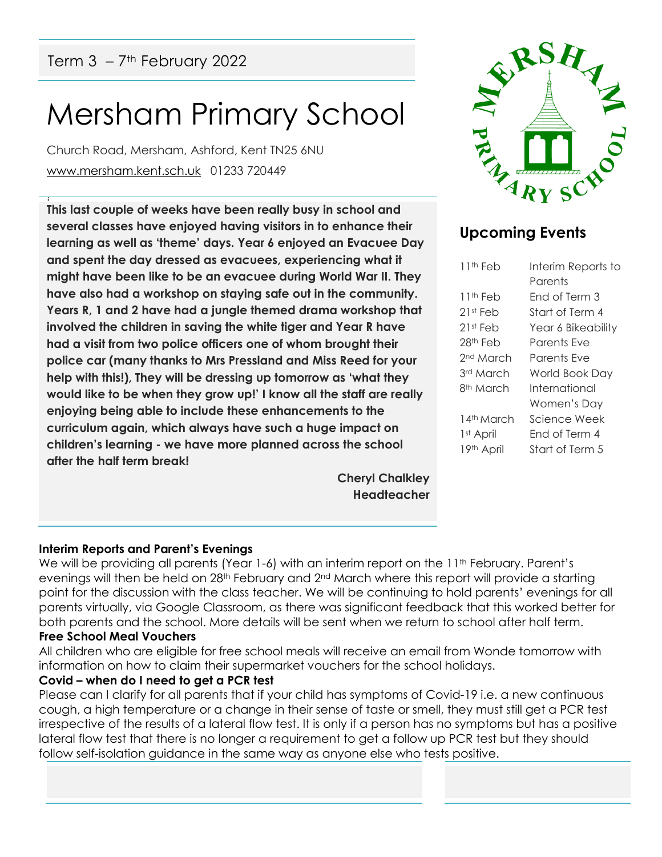## Mersham Primary School

Church Road, Mersham, Ashford, Kent TN25 6NU [www.mersham.kent.sch.uk](http://www.mersham.kent.sch.uk/) 01233 720449

! **This last couple of weeks have been really busy in school and several classes have enjoyed having visitors in to enhance their learning as well as 'theme' days. Year 6 enjoyed an Evacuee Day and spent the day dressed as evacuees, experiencing what it might have been like to be an evacuee during World War II. They have also had a workshop on staying safe out in the community. Years R, 1 and 2 have had a jungle themed drama workshop that involved the children in saving the white tiger and Year R have had a visit from two police officers one of whom brought their police car (many thanks to Mrs Pressland and Miss Reed for your help with this!), They will be dressing up tomorrow as 'what they would like to be when they grow up!' I know all the staff are really enjoying being able to include these enhancements to the curriculum again, which always have such a huge impact on children's learning - we have more planned across the school after the half term break!**

> **Cheryl Chalkley Headteacher**



### **Upcoming Events**

| 11th Feb              | Interim Reports to |
|-----------------------|--------------------|
|                       | Parents            |
| 11 <sup>th</sup> Feb  | Fnd of Term 3      |
| $21st$ Feb            | Start of Term 4    |
| 21st Feb              | Year 6 Bikeability |
| 28 <sup>th</sup> Feb  | Parents Fve        |
| 2 <sup>nd</sup> March | Parents Eve        |
| 3rd March             | World Book Day     |
| 8 <sup>th</sup> March | International      |
|                       | Women's Day        |
| 14th March            | Science Week       |
| 1 <sup>st</sup> April | Fnd of Term 4      |
| 19th April            | Start of Term 5    |
|                       |                    |

#### **Interim Reports and Parent's Evenings**

We will be providing all parents (Year 1-6) with an interim report on the 11<sup>th</sup> February. Parent's evenings will then be held on  $28<sup>th</sup>$  February and  $2<sup>nd</sup>$  March where this report will provide a starting point for the discussion with the class teacher. We will be continuing to hold parents' evenings for all parents virtually, via Google Classroom, as there was significant feedback that this worked better for both parents and the school. More details will be sent when we return to school after half term.

#### **Free School Meal Vouchers**

All children who are eligible for free school meals will receive an email from Wonde tomorrow with information on how to claim their supermarket vouchers for the school holidays.

#### **Covid – when do I need to get a PCR test**

Please can I clarify for all parents that if your child has symptoms of Covid-19 i.e. a new continuous cough, a high temperature or a change in their sense of taste or smell, they must still get a PCR test irrespective of the results of a lateral flow test. It is only if a person has no symptoms but has a positive lateral flow test that there is no longer a requirement to get a follow up PCR test but they should follow self-isolation guidance in the same way as anyone else who tests positive.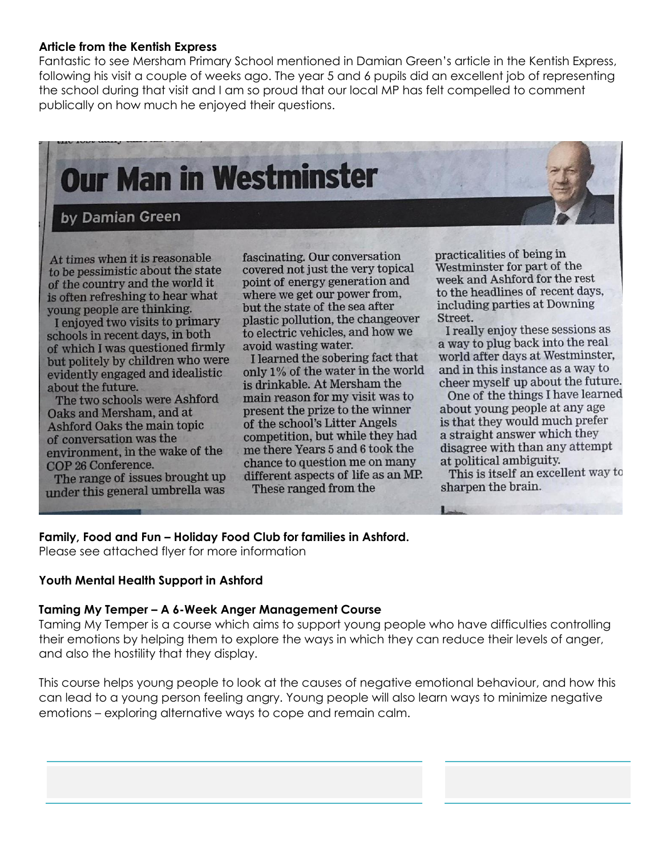#### **Article from the Kentish Express**

Fantastic to see Mersham Primary School mentioned in Damian Green's article in the Kentish Express, following his visit a couple of weeks ago. The year 5 and 6 pupils did an excellent job of representing the school during that visit and I am so proud that our local MP has felt compelled to comment publically on how much he enjoyed their questions.

# Our Man in Westminster

#### by Damian Green

At times when it is reasonable to be pessimistic about the state of the country and the world it is often refreshing to hear what young people are thinking.

I enjoyed two visits to primary schools in recent days, in both of which I was questioned firmly but politely by children who were evidently engaged and idealistic about the future.

The two schools were Ashford Oaks and Mersham, and at Ashford Oaks the main topic of conversation was the environment, in the wake of the COP 26 Conference.

The range of issues brought up under this general umbrella was

fascinating. Our conversation covered not just the very topical point of energy generation and where we get our power from, but the state of the sea after plastic pollution, the changeover to electric vehicles, and how we avoid wasting water.

I learned the sobering fact that only 1% of the water in the world is drinkable. At Mersham the main reason for my visit was to present the prize to the winner of the school's Litter Angels competition, but while they had me there Years 5 and 6 took the chance to question me on many different aspects of life as an MP. These ranged from the

practicalities of being in Westminster for part of the week and Ashford for the rest to the headlines of recent days, including parties at Downing Street.

I really enjoy these sessions as a way to plug back into the real world after days at Westminster, and in this instance as a way to cheer myself up about the future.

One of the things I have learned about young people at any age is that they would much prefer a straight answer which they disagree with than any attempt at political ambiguity.

This is itself an excellent way to sharpen the brain.

#### **Family, Food and Fun – Holiday Food Club for families in Ashford.**

Please see attached flyer for more information

#### **Youth Mental Health Support in Ashford**

#### **Taming My Temper – A 6-Week Anger Management Course**

Taming My Temper is a course which aims to support young people who have difficulties controlling their emotions by helping them to explore the ways in which they can reduce their levels of anger, and also the hostility that they display.

This course helps young people to look at the causes of negative emotional behaviour, and how this can lead to a young person feeling angry. Young people will also learn ways to minimize negative emotions – exploring alternative ways to cope and remain calm.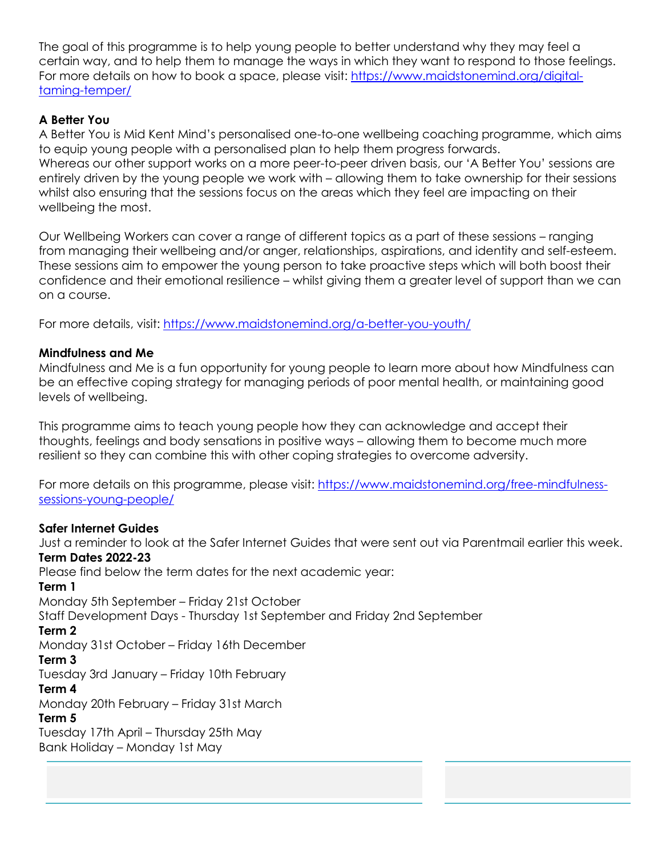The goal of this programme is to help young people to better understand why they may feel a certain way, and to help them to manage the ways in which they want to respond to those feelings. For more details on how to book a space, please visit: [https://www.maidstonemind.org/digital](https://www.maidstonemind.org/digital-taming-temper/)[taming-temper/](https://www.maidstonemind.org/digital-taming-temper/)

#### **A Better You**

A Better You is Mid Kent Mind's personalised one-to-one wellbeing coaching programme, which aims to equip young people with a personalised plan to help them progress forwards.

Whereas our other support works on a more peer-to-peer driven basis, our 'A Better You' sessions are entirely driven by the young people we work with – allowing them to take ownership for their sessions whilst also ensuring that the sessions focus on the areas which they feel are impacting on their wellbeing the most.

Our Wellbeing Workers can cover a range of different topics as a part of these sessions – ranging from managing their wellbeing and/or anger, relationships, aspirations, and identity and self-esteem. These sessions aim to empower the young person to take proactive steps which will both boost their confidence and their emotional resilience – whilst giving them a greater level of support than we can on a course.

For more details, visit:<https://www.maidstonemind.org/a-better-you-youth/>

#### **Mindfulness and Me**

Mindfulness and Me is a fun opportunity for young people to learn more about how Mindfulness can be an effective coping strategy for managing periods of poor mental health, or maintaining good levels of wellbeing.

This programme aims to teach young people how they can acknowledge and accept their thoughts, feelings and body sensations in positive ways – allowing them to become much more resilient so they can combine this with other coping strategies to overcome adversity.

For more details on this programme, please visit: [https://www.maidstonemind.org/free-mindfulness](https://www.maidstonemind.org/free-mindfulness-sessions-young-people/)[sessions-young-people/](https://www.maidstonemind.org/free-mindfulness-sessions-young-people/)

#### **Safer Internet Guides**

Just a reminder to look at the Safer Internet Guides that were sent out via Parentmail earlier this week. **Term Dates 2022-23** Please find below the term dates for the next academic year: **Term 1**  Monday 5th September – Friday 21st October Staff Development Days - Thursday 1st September and Friday 2nd September **Term 2**  Monday 31st October – Friday 16th December **Term 3** Tuesday 3rd January – Friday 10th February **Term 4** Monday 20th February – Friday 31st March **Term 5** Tuesday 17th April – Thursday 25th May Bank Holiday – Monday 1st May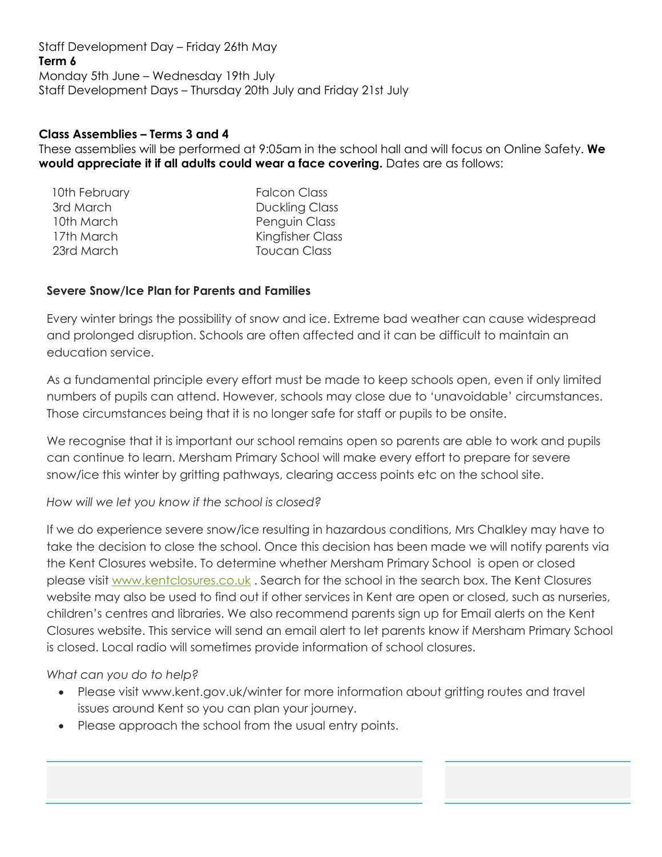Staff Development Day – Friday 26th May **Term 6** Monday 5th June – Wednesday 19th July Staff Development Days – Thursday 20th July and Friday 21st July

#### **Class Assemblies – Terms 3 and 4**

These assemblies will be performed at 9:05am in the school hall and will focus on Online Safety. **We would appreciate it if all adults could wear a face covering.** Dates are as follows:

| 10th February | <b>Falcon Class</b>   |
|---------------|-----------------------|
| 3rd March     | <b>Duckling Class</b> |
| 10th March    | Penguin Class         |
| 17th March    | Kingfisher Class      |
| 23rd March    | Toucan Class          |
|               |                       |

#### **Severe Snow/Ice Plan for Parents and Families**

Every winter brings the possibility of snow and ice. Extreme bad weather can cause widespread and prolonged disruption. Schools are often affected and it can be difficult to maintain an education service.

As a fundamental principle every effort must be made to keep schools open, even if only limited numbers of pupils can attend. However, schools may close due to 'unavoidable' circumstances. Those circumstances being that it is no longer safe for staff or pupils to be onsite.

We recognise that it is important our school remains open so parents are able to work and pupils can continue to learn. Mersham Primary School will make every effort to prepare for severe snow/ice this winter by gritting pathways, clearing access points etc on the school site.

#### *How will we let you know if the school is closed?*

If we do experience severe snow/ice resulting in hazardous conditions, Mrs Chalkley may have to take the decision to close the school. Once this decision has been made we will notify parents via the Kent Closures website. To determine whether Mersham Primary School is open or closed please visit [www.kentclosures.co.uk](http://www.kentclosures.co.uk/) . Search for the school in the search box. The Kent Closures website may also be used to find out if other services in Kent are open or closed, such as nurseries, children's centres and libraries. We also recommend parents sign up for Email alerts on the Kent Closures website. This service will send an email alert to let parents know if Mersham Primary School is closed. Local radio will sometimes provide information of school closures.

#### *What can you do to help?*

- Please visit www.kent.gov.uk/winter for more information about gritting routes and travel issues around Kent so you can plan your journey.
- Please approach the school from the usual entry points.